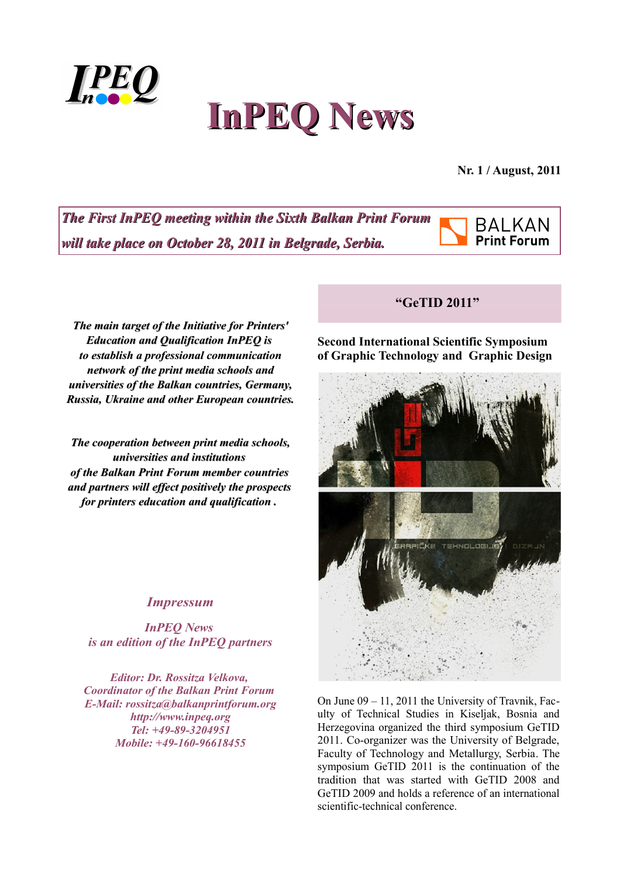

# **InPEQ News**

**Nr. 1 / August, 2011**

**The First InPEQ meeting within the Sixth Balkan Print Forum** *will take place on October 28, 2011 in Belgrade, Serbia. will take place on October 28, 2011 in Belgrade, Serbia.*



*The main target of the Initiative for Printers' Initiative for Printers' Education and Qualification Education and Qualification InPEQ is to establish a professional communication network of the print media schools and schools and universities of the Balkan countries, Germany, Russia, Ukraine and other European countries.*

*The cooperation between print media schools, media schools, universities and institutions of the Balkan Print Forum member countries of the Balkan Print Forum member countries and partners will effect positively the prospects and partners will effect positively the prospects for printers education and qualification . for printers education and qualification .* 

### *Impressum*

*InPEQ News is an edition of the InPEQ partners*

*Editor: Dr. Rossitza Velkova, Coordinator of the Balkan Print Forum E-Mail: rossitza@balkanprintforum.org http://www.inpeq.org Tel: +49-89-3204951 Mobile: +49-160-96618455*

#### **"GeTID 2011"**

**Second International Scientific Symposium of Graphic Technology and Graphic Design**



On June 09 – 11, 2011 the University of Travnik, Faculty of Technical Studies in Kiseljak, Bosnia and Herzegovina organized the third symposium GeTID 2011. Co-organizer was the University of Belgrade, Faculty of Technology and Metallurgy, Serbia. The symposium GeTID 2011 is the continuation of the tradition that was started with GeTID 2008 and GeTID 2009 and holds a reference of an international scientific-technical conference.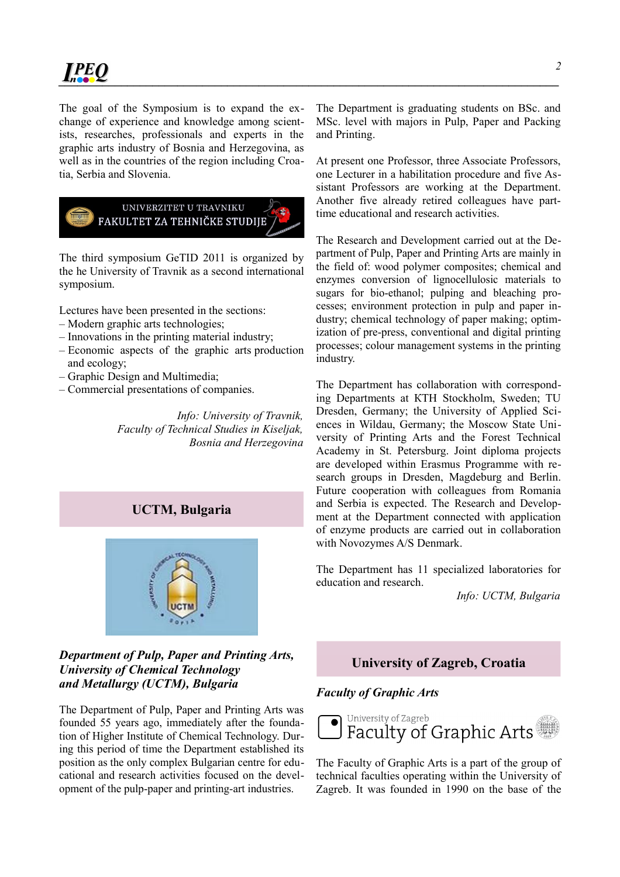The goal of the Symposium is to expand the exchange of experience and knowledge among scientists, researches, professionals and experts in the graphic arts industry of Bosnia and Herzegovina, as well as in the countries of the region including Croatia, Serbia and Slovenia.



The third symposium GeTID 2011 is organized by the he University of Travnik as a second international symposium.

Lectures have been presented in the sections:

- Modern graphic arts technologies;
- Innovations in the printing material industry;
- Economic aspects of the graphic arts production and ecology;
- Graphic Design and Multimedia;
- Commercial presentations of companies.

*Info: University of Travnik, Faculty of Technical Studies in Kiseljak, Bosnia and Herzegovina*

## **UCTM, Bulgaria**



#### *Department of Pulp, Paper and Printing Arts, University of Chemical Technology and Metallurgy (UCTM), Bulgaria*

The Department of Pulp, Paper and Printing Arts was founded 55 years ago, immediately after the foundation of Higher Institute of Chemical Technology. During this period of time the Department established its position as the only complex Bulgarian centre for educational and research activities focused on the development of the pulp-paper and printing-art industries.

The Department is graduating students on BSc. and MSc. level with majors in Pulp, Paper and Packing and Printing.

At present one Professor, three Associate Professors, one Lecturer in a habilitation procedure and five Assistant Professors are working at the Department. Another five already retired colleagues have parttime educational and research activities.

The Research and Development carried out at the Department of Pulp, Paper and Printing Arts are mainly in the field of: wood polymer composites; chemical and enzymes conversion of lignocellulosic materials to sugars for bio-ethanol; pulping and bleaching processes; environment protection in pulp and paper industry; chemical technology of paper making; optimization of pre-press, conventional and digital printing processes; colour management systems in the printing industry.

The Department has collaboration with corresponding Departments at КТН Stockholm, Sweden; TU Dresden, Germany; the University of Applied Sciences in Wildau, Germany; the Moscow State University of Printing Arts and the Forest Technical Academy in St. Petersburg. Joint diploma projects are developed within Erasmus Programme with research groups in Dresden, Magdeburg and Berlin. Future cooperation with colleagues from Romania and Serbia is expected. The Research and Development at the Department connected with application of enzyme products are carried out in collaboration with Novozymes A/S Denmark.

The Department has 11 specialized laboratories for education and research.

*Info: UCTM, Bulgaria*

#### **University of Zagreb, Croatia**

*Faculty of Graphic Arts*



The Faculty of Graphic Arts is a part of the group of technical faculties operating within the University of Zagreb. It was founded in 1990 on the base of the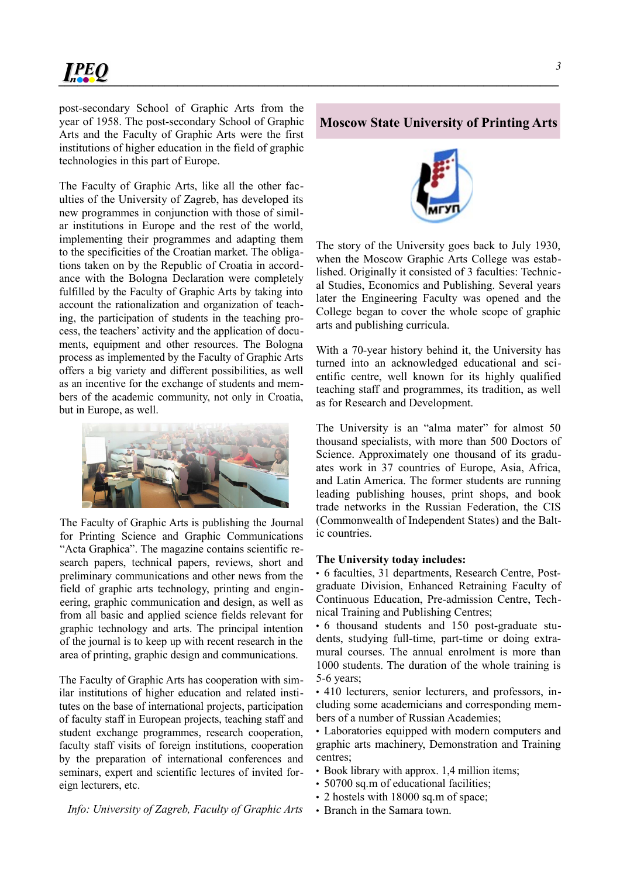post-secondary School of Graphic Arts from the year of 1958. The post-secondary School of Graphic Arts and the Faculty of Graphic Arts were the first institutions of higher education in the field of graphic technologies in this part of Europe.

The Faculty of Graphic Arts, like all the other faculties of the University of Zagreb, has developed its new programmes in conjunction with those of similar institutions in Europe and the rest of the world, implementing their programmes and adapting them to the specificities of the Croatian market. The obligations taken on by the Republic of Croatia in accordance with the Bologna Declaration were completely fulfilled by the Faculty of Graphic Arts by taking into account the rationalization and organization of teaching, the participation of students in the teaching process, the teachers' activity and the application of documents, equipment and other resources. The Bologna process as implemented by the Faculty of Graphic Arts offers a big variety and different possibilities, as well as an incentive for the exchange of students and members of the academic community, not only in Croatia, but in Europe, as well.



The Faculty of Graphic Arts is publishing the Journal for Printing Science and Graphic Communications "Acta Graphica". The magazine contains scientific research papers, technical papers, reviews, short and preliminary communications and other news from the field of graphic arts technology, printing and engineering, graphic communication and design, as well as from all basic and applied science fields relevant for graphic technology and arts. The principal intention of the journal is to keep up with recent research in the area of printing, graphic design and communications.

The Faculty of Graphic Arts has cooperation with similar institutions of higher education and related institutes on the base of international projects, participation of faculty staff in European projects, teaching staff and student exchange programmes, research cooperation, faculty staff visits of foreign institutions, cooperation by the preparation of international conferences and seminars, expert and scientific lectures of invited foreign lecturers, etc.

#### **Moscow State University of Printing Arts**



The story of the University goes back to July 1930, when the Moscow Graphic Arts College was established. Originally it consisted of 3 faculties: Technical Studies, Economics and Publishing. Several years later the Engineering Faculty was opened and the College began to cover the whole scope of graphic arts and publishing curricula.

With a 70-year history behind it, the University has turned into an acknowledged educational and scientific centre, well known for its highly qualified teaching staff and programmes, its tradition, as well as for Research and Development.

The University is an "alma mater" for almost 50 thousand specialists, with more than 500 Doctors of Science. Approximately one thousand of its graduates work in 37 countries of Europe, Asia, Africa, and Latin America. The former students are running leading publishing houses, print shops, and book trade networks in the Russian Federation, the CIS (Commonwealth of Independent States) and the Baltic countries.

#### **The University today includes:**

• 6 faculties, 31 departments, Research Centre, Postgraduate Division, Enhanced Retraining Faculty of Continuous Education, Pre-admission Centre, Technical Training and Publishing Centres;

• 6 thousand students and 150 post-graduate students, studying full-time, part-time or doing extramural courses. The annual enrolment is more than 1000 students. The duration of the whole training is 5-6 years;

• 410 lecturers, senior lecturers, and professors, including some academicians and corresponding members of a number of Russian Academies;

• Laboratories equipped with modern computers and graphic arts machinery, Demonstration and Training centres;

- Book library with approx. 1,4 million items;
- 50700 sq.m of educational facilities:
- 2 hostels with 18000 sq.m of space;
- Branch in the Samara town.

*3*

*Info: University of Zagreb, Faculty of Graphic Arts*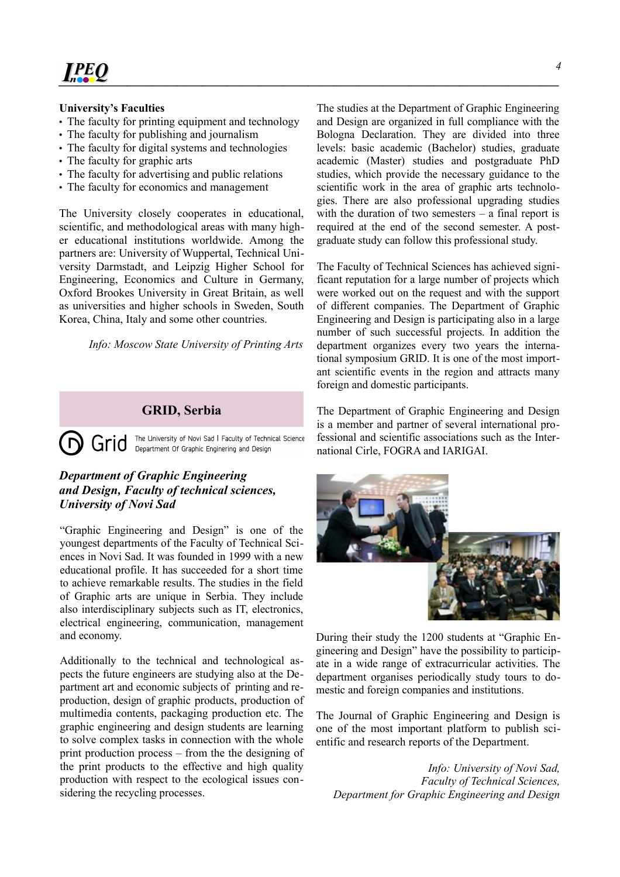#### **University's Faculties**

- The faculty for printing equipment and technology
- The faculty for publishing and journalism
- The faculty for digital systems and technologies
- The faculty for graphic arts
- The faculty for advertising and public relations
- The faculty for economics and management

The University closely cooperates in educational, scientific, and methodological areas with many higher educational institutions worldwide. Among the partners are: University of Wuppertal, Technical University Darmstadt, and Leipzig Higher School for Engineering, Economics and Culture in Germany, Oxford Brookes University in Great Britain, as well as universities and higher schools in Sweden, South Korea, China, Italy and some other countries.

*Info: Moscow State University of Printing Arts*

#### **GRID, Serbia**

The University of Novi Sad | Faculty of Technical Science  $\Gamma$ Grid Department Of Graphic Enginering and Design

#### *Department of Graphic Engineering and Design, Faculty of technical sciences, University of Novi Sad*

"Graphic Engineering and Design" is one of the youngest departments of the Faculty of Technical Sciences in Novi Sad. It was founded in 1999 with a new educational profile. It has succeeded for a short time to achieve remarkable results. The studies in the field of Graphic arts are unique in Serbia. They include also interdisciplinary subjects such as IT, electronics, electrical engineering, communication, management and economy.

Additionally to the technical and technological aspects the future engineers are studying also at the Department art and economic subjects of printing and reproduction, design of graphic products, production of multimedia contents, packaging production etc. The graphic engineering and design students are learning to solve complex tasks in connection with the whole print production process – from the the designing of the print products to the effective and high quality production with respect to the ecological issues considering the recycling processes.

The studies at the Department of Graphic Engineering and Design are organized in full compliance with the Bologna Declaration. They are divided into three levels: basic academic (Bachelor) studies, graduate academic (Master) studies and postgraduate PhD studies, which provide the necessary guidance to the scientific work in the area of graphic arts technologies. There are also professional upgrading studies with the duration of two semesters – a final report is required at the end of the second semester. A postgraduate study can follow this professional study.

The Faculty of Technical Sciences has achieved significant reputation for a large number of projects which were worked out on the request and with the support of different companies. The Department of Graphic Engineering and Design is participating also in a large number of such successful projects. In addition the department organizes every two years the international symposium GRID. It is one of the most important scientific events in the region and attracts many foreign and domestic participants.

The Department of Graphic Engineering and Design is a member and partner of several international professional and scientific associations such as the International Cirle, FOGRA and IARIGAI.



During their study the 1200 students at "Graphic Engineering and Design" have the possibility to participate in a wide range of extracurricular activities. The department organises periodically study tours to domestic and foreign companies and institutions.

The Journal of Graphic Engineering and Design is one of the most important platform to publish scientific and research reports of the Department.

*Info: University of Novi Sad, Faculty of Technical Sciences, Department for Graphic Engineering and Design*